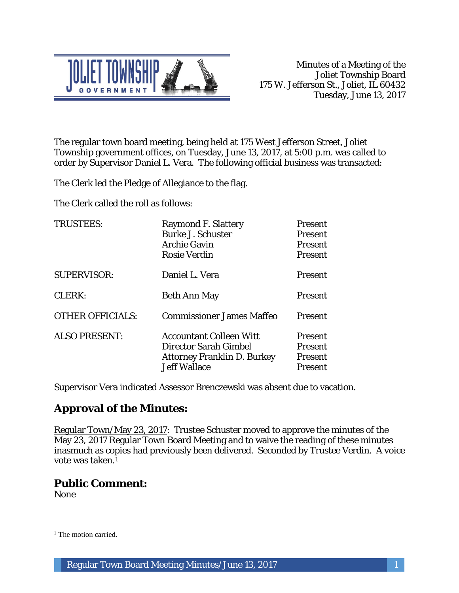

The regular town board meeting, being held at 175 West Jefferson Street, Joliet Township government offices, on Tuesday, June 13, 2017, at 5:00 p.m. was called to order by Supervisor Daniel L. Vera. The following official business was transacted:

The Clerk led the Pledge of Allegiance to the flag.

The Clerk called the roll as follows:

| <b>TRUSTEES:</b>        | <b>Raymond F. Slattery</b><br><b>Burke J. Schuster</b><br><b>Archie Gavin</b><br><b>Rosie Verdin</b>                 | <b>Present</b><br><b>Present</b><br><b>Present</b><br><b>Present</b> |
|-------------------------|----------------------------------------------------------------------------------------------------------------------|----------------------------------------------------------------------|
| <b>SUPERVISOR:</b>      | Daniel L. Vera                                                                                                       | <b>Present</b>                                                       |
| CLERK:                  | <b>Beth Ann May</b>                                                                                                  | <b>Present</b>                                                       |
| <b>OTHER OFFICIALS:</b> | <b>Commissioner James Maffeo</b>                                                                                     | <b>Present</b>                                                       |
| <b>ALSO PRESENT:</b>    | <b>Accountant Colleen Witt</b><br>Director Sarah Gimbel<br><b>Attorney Franklin D. Burkey</b><br><b>Jeff Wallace</b> | <b>Present</b><br><b>Present</b><br><b>Present</b><br>Present        |

Supervisor Vera indicated Assessor Brenczewski was absent due to vacation.

# **Approval of the Minutes:**

Regular Town/May 23, 2017: Trustee Schuster moved to approve the minutes of the May 23, 2017 Regular Town Board Meeting and to waive the reading of these minutes inasmuch as copies had previously been delivered. Seconded by Trustee Verdin. A voice vote was taken.1

# **Public Comment:**

None

 $\overline{a}$ <sup>1</sup> The motion carried.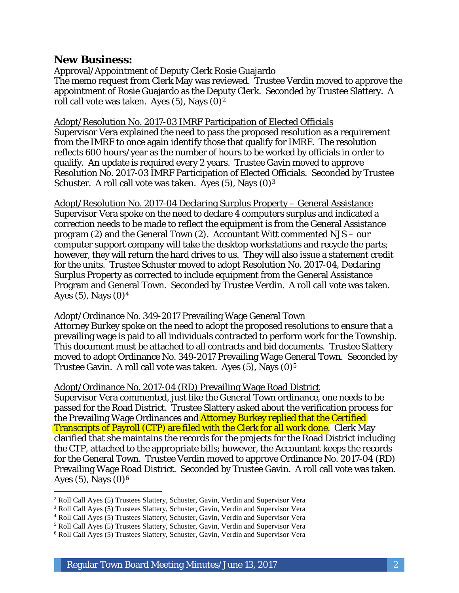# **New Business:**

Approval/Appointment of Deputy Clerk Rosie Guajardo

The memo request from Clerk May was reviewed. Trustee Verdin moved to approve the appointment of Rosie Guajardo as the Deputy Clerk. Seconded by Trustee Slattery. A roll call vote was taken. Ayes  $(5)$ , Nays  $(0)<sup>2</sup>$ 

#### Adopt/Resolution No. 2017-03 IMRF Participation of Elected Officials

Supervisor Vera explained the need to pass the proposed resolution as a requirement from the IMRF to once again identify those that qualify for IMRF. The resolution reflects 600 hours/year as the number of hours to be worked by officials in order to qualify. An update is required every 2 years. Trustee Gavin moved to approve Resolution No. 2017-03 IMRF Participation of Elected Officials. Seconded by Trustee Schuster. A roll call vote was taken. Ayes  $(5)$ , Nays  $(0)^3$ 

Adopt/Resolution No. 2017-04 Declaring Surplus Property – General Assistance Supervisor Vera spoke on the need to declare 4 computers surplus and indicated a correction needs to be made to reflect the equipment is from the General Assistance program (2) and the General Town (2). Accountant Witt commented NJS – our computer support company will take the desktop workstations and recycle the parts; however, they will return the hard drives to us. They will also issue a statement credit for the units. Trustee Schuster moved to adopt Resolution No. 2017-04, Declaring Surplus Property as corrected to include equipment from the General Assistance Program and General Town. Seconded by Trustee Verdin. A roll call vote was taken. Ayes  $(5)$ , Nays  $(0)^4$ 

#### Adopt/Ordinance No. 349-2017 Prevailing Wage General Town

Attorney Burkey spoke on the need to adopt the proposed resolutions to ensure that a prevailing wage is paid to all individuals contracted to perform work for the Township. This document must be attached to all contracts and bid documents. Trustee Slattery moved to adopt Ordinance No. 349-2017 Prevailing Wage General Town. Seconded by Trustee Gavin. A roll call vote was taken. Ayes  $(5)$ , Nays  $(0)<sup>5</sup>$ 

#### Adopt/Ordinance No. 2017-04 (RD) Prevailing Wage Road District

Supervisor Vera commented, just like the General Town ordinance, one needs to be passed for the Road District. Trustee Slattery asked about the verification process for the Prevailing Wage Ordinances and Attorney Burkey replied that the Certified Transcripts of Payroll (CTP) are filed with the Clerk for all work done. Clerk May clarified that she maintains the records for the projects for the Road District including the CTP, attached to the appropriate bills; however, the Accountant keeps the records for the General Town. Trustee Verdin moved to approve Ordinance No. 2017-04 (RD) Prevailing Wage Road District. Seconded by Trustee Gavin. A roll call vote was taken. Ayes (5), Nays  $(0)^6$ 

I <sup>2</sup> Roll Call Ayes (5) Trustees Slattery, Schuster, Gavin, Verdin and Supervisor Vera

<sup>3</sup> Roll Call Ayes (5) Trustees Slattery, Schuster, Gavin, Verdin and Supervisor Vera

<sup>4</sup> Roll Call Ayes (5) Trustees Slattery, Schuster, Gavin, Verdin and Supervisor Vera

<sup>5</sup> Roll Call Ayes (5) Trustees Slattery, Schuster, Gavin, Verdin and Supervisor Vera

<sup>6</sup> Roll Call Ayes (5) Trustees Slattery, Schuster, Gavin, Verdin and Supervisor Vera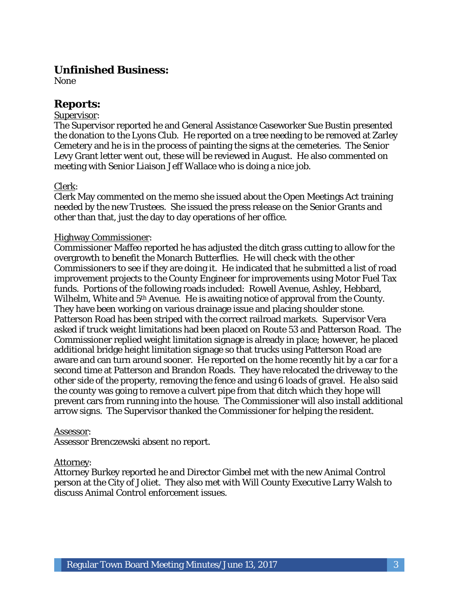# **Unfinished Business:**

None

# **Reports:**

#### Supervisor:

The Supervisor reported he and General Assistance Caseworker Sue Bustin presented the donation to the Lyons Club. He reported on a tree needing to be removed at Zarley Cemetery and he is in the process of painting the signs at the cemeteries. The Senior Levy Grant letter went out, these will be reviewed in August. He also commented on meeting with Senior Liaison Jeff Wallace who is doing a nice job.

#### Clerk:

Clerk May commented on the memo she issued about the Open Meetings Act training needed by the new Trustees. She issued the press release on the Senior Grants and other than that, just the day to day operations of her office.

#### Highway Commissioner:

Commissioner Maffeo reported he has adjusted the ditch grass cutting to allow for the overgrowth to benefit the Monarch Butterflies. He will check with the other Commissioners to see if they are doing it. He indicated that he submitted a list of road improvement projects to the County Engineer for improvements using Motor Fuel Tax funds. Portions of the following roads included: Rowell Avenue, Ashley, Hebbard, Wilhelm, White and 5<sup>th</sup> Avenue. He is awaiting notice of approval from the County. They have been working on various drainage issue and placing shoulder stone. Patterson Road has been striped with the correct railroad markets. Supervisor Vera asked if truck weight limitations had been placed on Route 53 and Patterson Road. The Commissioner replied weight limitation signage is already in place; however, he placed additional bridge height limitation signage so that trucks using Patterson Road are aware and can turn around sooner. He reported on the home recently hit by a car for a second time at Patterson and Brandon Roads. They have relocated the driveway to the other side of the property, removing the fence and using 6 loads of gravel. He also said the county was going to remove a culvert pipe from that ditch which they hope will prevent cars from running into the house. The Commissioner will also install additional arrow signs. The Supervisor thanked the Commissioner for helping the resident.

#### Assessor:

Assessor Brenczewski absent no report.

#### Attorney:

Attorney Burkey reported he and Director Gimbel met with the new Animal Control person at the City of Joliet. They also met with Will County Executive Larry Walsh to discuss Animal Control enforcement issues.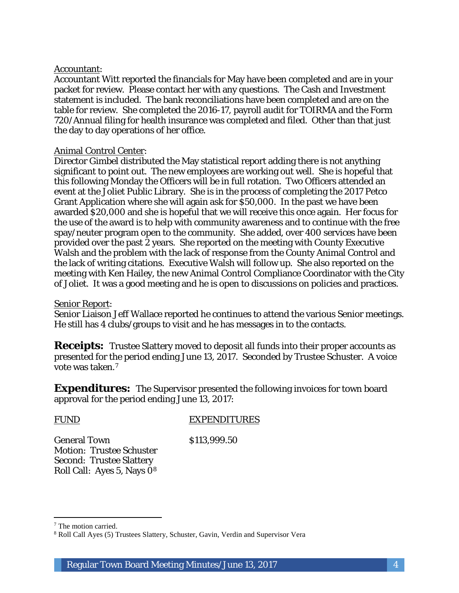#### Accountant:

Accountant Witt reported the financials for May have been completed and are in your packet for review. Please contact her with any questions. The Cash and Investment statement is included. The bank reconciliations have been completed and are on the table for review. She completed the 2016-17, payroll audit for TOIRMA and the Form 720/Annual filing for health insurance was completed and filed. Other than that just the day to day operations of her office.

#### Animal Control Center:

Director Gimbel distributed the May statistical report adding there is not anything significant to point out. The new employees are working out well. She is hopeful that this following Monday the Officers will be in full rotation. Two Officers attended an event at the Joliet Public Library. She is in the process of completing the 2017 Petco Grant Application where she will again ask for \$50,000. In the past we have been awarded \$20,000 and she is hopeful that we will receive this once again. Her focus for the use of the award is to help with community awareness and to continue with the free spay/neuter program open to the community. She added, over 400 services have been provided over the past 2 years. She reported on the meeting with County Executive Walsh and the problem with the lack of response from the County Animal Control and the lack of writing citations. Executive Walsh will follow up. She also reported on the meeting with Ken Hailey, the new Animal Control Compliance Coordinator with the City of Joliet. It was a good meeting and he is open to discussions on policies and practices.

#### Senior Report:

Senior Liaison Jeff Wallace reported he continues to attend the various Senior meetings. He still has 4 clubs/groups to visit and he has messages in to the contacts.

**Receipts:** Trustee Slattery moved to deposit all funds into their proper accounts as presented for the period ending June 13, 2017. Seconded by Trustee Schuster. A voice vote was taken.7

**Expenditures:** The Supervisor presented the following invoices for town board approval for the period ending June 13, 2017:

I

#### FUND EXPENDITURES

General Town \$113,999.50 Motion: Trustee Schuster Second: Trustee Slattery Roll Call: Ayes 5, Nays 08

<sup>7</sup> The motion carried.

<sup>8</sup> Roll Call Ayes (5) Trustees Slattery, Schuster, Gavin, Verdin and Supervisor Vera